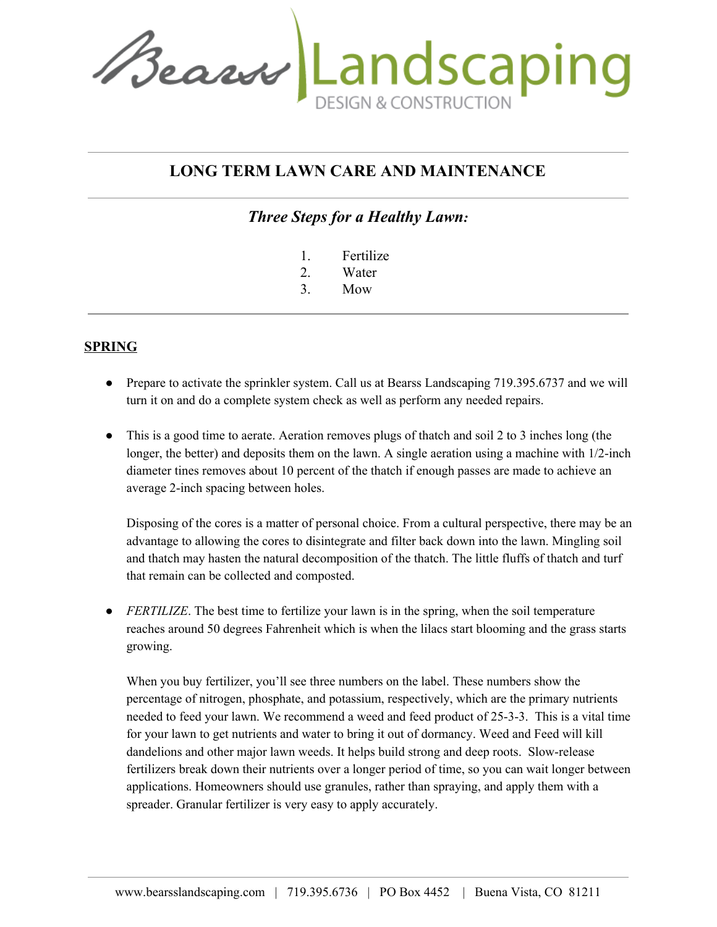Beaux Landscaping

# **LONG TERM LAWN CARE AND MAINTENANCE**

*Three Steps for a Healthy Lawn:*

- 1. Fertilize
- 2. Water
- 3. Mow

#### **SPRING**

- Prepare to activate the sprinkler system. Call us at Bearss Landscaping 719.395.6737 and we will turn it on and do a complete system check as well as perform any needed repairs.
- This is a good time to aerate. Aeration removes plugs of thatch and soil 2 to 3 inches long (the longer, the better) and deposits them on the lawn. A single aeration using a machine with 1/2-inch diameter tines removes about 10 percent of the thatch if enough passes are made to achieve an average 2-inch spacing between holes.

Disposing of the cores is a matter of personal choice. From a cultural perspective, there may be an advantage to allowing the cores to disintegrate and filter back down into the lawn. Mingling soil and thatch may hasten the natural decomposition of the thatch. The little fluffs of thatch and turf that remain can be collected and composted.

• *FERTILIZE*. The best time to fertilize your lawn is in the spring, when the soil temperature reaches around 50 degrees Fahrenheit which is when the lilacs start blooming and the grass starts growing.

When you buy fertilizer, you'll see three numbers on the label. These numbers show the percentage of nitrogen, phosphate, and potassium, respectively, which are the primary nutrients needed to feed your lawn. We recommend a weed and feed product of 25-3-3. This is a vital time for your lawn to get nutrients and water to bring it out of dormancy. Weed and Feed will kill dandelions and other major lawn weeds. It helps build strong and deep roots. Slow-release fertilizers break down their nutrients over a longer period of time, so you can wait longer between applications. Homeowners should use granules, rather than spraying, and apply them with a spreader. Granular fertilizer is very easy to apply accurately.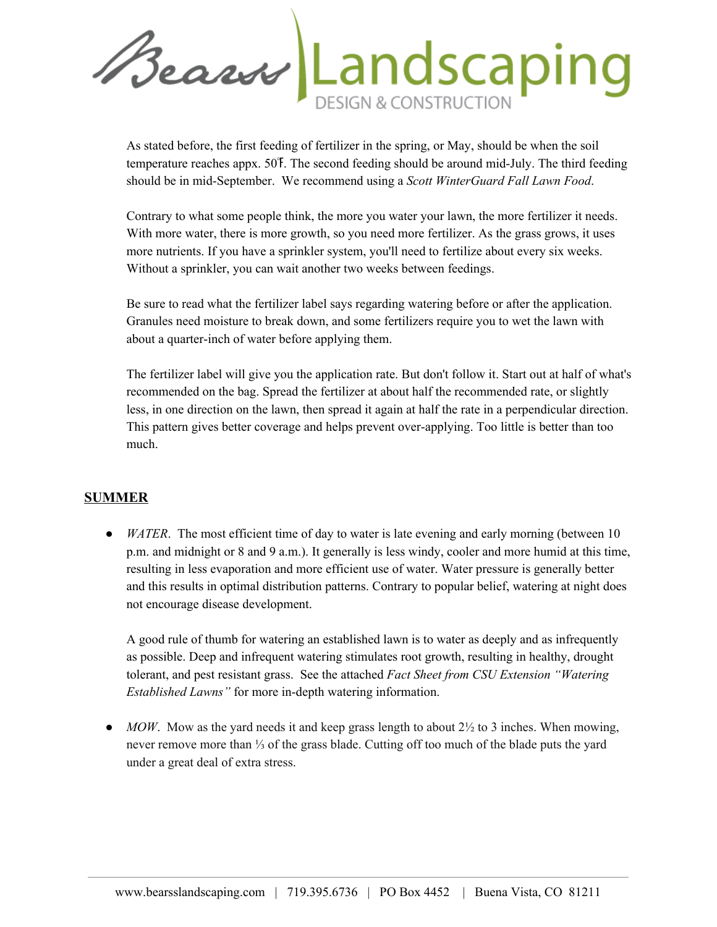Beau Landscaping

As stated before, the first feeding of fertilizer in the spring, or May, should be when the soil temperature reaches appx. 50℉. The second feeding should be around mid-July. The third feeding should be in mid-September. We recommend using a *Scott WinterGuard Fall Lawn Food*.

Contrary to what some people think, the more you water your lawn, the more fertilizer it needs. With more water, there is more growth, so you need more fertilizer. As the grass grows, it uses more nutrients. If you have a sprinkler system, you'll need to fertilize about every six weeks. Without a sprinkler, you can wait another two weeks between feedings.

Be sure to read what the fertilizer label says regarding watering before or after the application. Granules need moisture to break down, and some fertilizers require you to wet the lawn with about a quarter-inch of water before applying them.

The fertilizer label will give you the application rate. But don't follow it. Start out at half of what's recommended on the bag. Spread the fertilizer at about half the recommended rate, or slightly less, in one direction on the lawn, then spread it again at half the rate in a perpendicular direction. This pattern gives better coverage and helps prevent over-applying. Too little is better than too much.

### **SUMMER**

• *WATER*. The most efficient time of day to water is late evening and early morning (between 10 p.m. and midnight or 8 and 9 a.m.). It generally is less windy, cooler and more humid at this time, resulting in less evaporation and more efficient use of water. Water pressure is generally better and this results in optimal distribution patterns. Contrary to popular belief, watering at night does not encourage disease development.

A good rule of thumb for watering an established lawn is to water as deeply and as infrequently as possible. Deep and infrequent watering stimulates root growth, resulting in healthy, drought tolerant, and pest resistant grass. See the attached *Fact Sheet from CSU Extension "Watering Established Lawns"* for more in-depth watering information.

 $\bullet$  *MOW*. Mow as the yard needs it and keep grass length to about  $2\frac{1}{2}$  to 3 inches. When mowing, never remove more than ⅓ of the grass blade. Cutting off too much of the blade puts the yard under a great deal of extra stress.